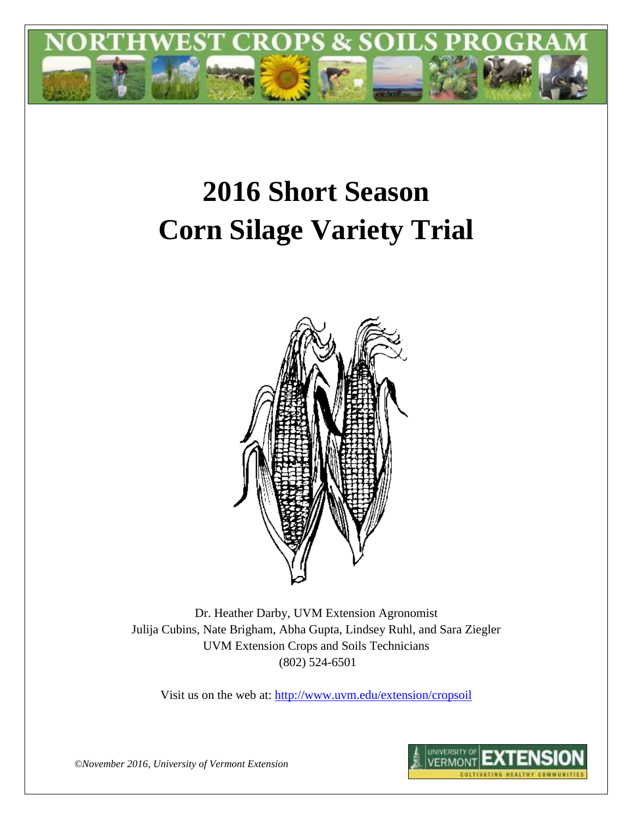

# **2016 Short Season Corn Silage Variety Trial**



Dr. Heather Darby, UVM Extension Agronomist Julija Cubins, Nate Brigham, Abha Gupta, Lindsey Ruhl, and Sara Ziegler UVM Extension Crops and Soils Technicians (802) 524-6501

Visit us on the web at: <http://www.uvm.edu/extension/cropsoil>



*©November 2016, University of Vermont Extension*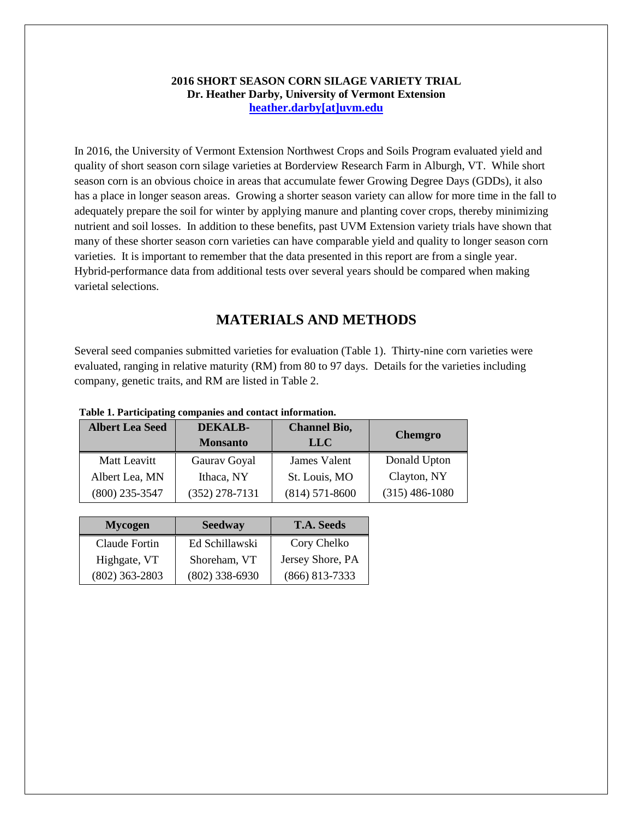#### **2016 SHORT SEASON CORN SILAGE VARIETY TRIAL Dr. Heather Darby, University of Vermont Extension [heather.darby\[at\]uvm.edu](mailto:heather.darby@uvm.edu?subject=2012%20Short%20Season%20Corn%20Report)**

In 2016, the University of Vermont Extension Northwest Crops and Soils Program evaluated yield and quality of short season corn silage varieties at Borderview Research Farm in Alburgh, VT. While short season corn is an obvious choice in areas that accumulate fewer Growing Degree Days (GDDs), it also has a place in longer season areas. Growing a shorter season variety can allow for more time in the fall to adequately prepare the soil for winter by applying manure and planting cover crops, thereby minimizing nutrient and soil losses. In addition to these benefits, past UVM Extension variety trials have shown that many of these shorter season corn varieties can have comparable yield and quality to longer season corn varieties. It is important to remember that the data presented in this report are from a single year. Hybrid-performance data from additional tests over several years should be compared when making varietal selections.

# **MATERIALS AND METHODS**

Several seed companies submitted varieties for evaluation (Table 1). Thirty-nine corn varieties were evaluated, ranging in relative maturity (RM) from 80 to 97 days. Details for the varieties including company, genetic traits, and RM are listed in Table 2.

| <b>Albert Lea Seed</b> | DEKALB-<br><b>Monsanto</b> | <b>Channel Bio,</b><br><b>LLC</b> | <b>Chemgro</b>   |
|------------------------|----------------------------|-----------------------------------|------------------|
| Matt Leavitt           | Gaurav Goyal               | James Valent                      | Donald Upton     |
| Albert Lea, MN         | Ithaca, NY                 | St. Louis, MO                     | Clayton, NY      |
| $(800)$ 235-3547       | $(352)$ 278-7131           | $(814)$ 571-8600                  | $(315)$ 486-1080 |

**Table 1. Participating companies and contact information.**

| <b>Mycogen</b>   | <b>Seedway</b>   | <b>T.A. Seeds</b> |  |  |
|------------------|------------------|-------------------|--|--|
| Claude Fortin    | Ed Schillawski   | Cory Chelko       |  |  |
| Highgate, VT     | Shoreham, VT     | Jersey Shore, PA  |  |  |
| $(802)$ 363-2803 | $(802)$ 338-6930 | $(866)$ 813-7333  |  |  |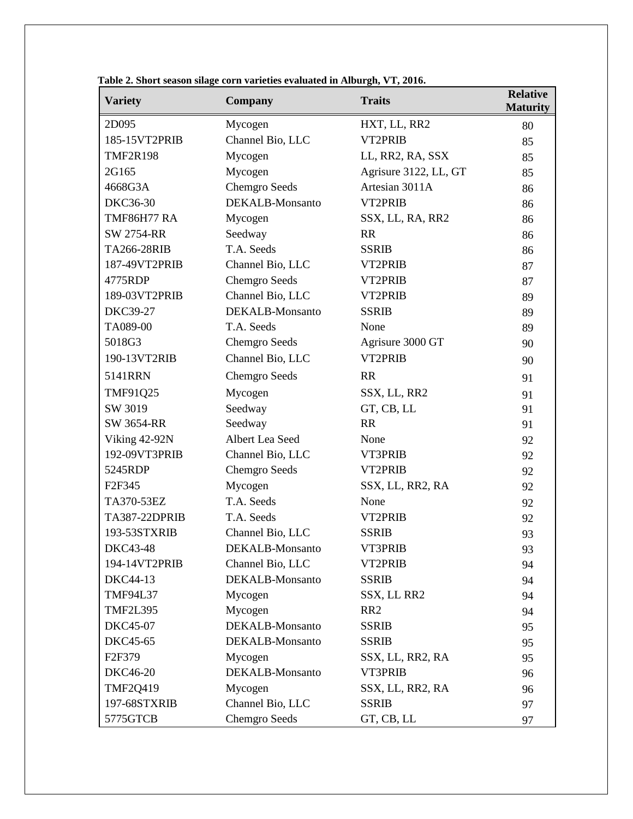| <b>Variety</b>      | <b>Company</b>       | <b>Traits</b>         | <b>Relative</b><br><b>Maturity</b> |
|---------------------|----------------------|-----------------------|------------------------------------|
| 2D095               | Mycogen              | HXT, LL, RR2          | 80                                 |
| 185-15VT2PRIB       | Channel Bio, LLC     | VT2PRIB               | 85                                 |
| <b>TMF2R198</b>     | Mycogen              | LL, RR2, RA, SSX      | 85                                 |
| 2G165               | Mycogen              | Agrisure 3122, LL, GT | 85                                 |
| 4668G3A             | <b>Chemgro Seeds</b> | Artesian 3011A        | 86                                 |
| <b>DKC36-30</b>     | DEKALB-Monsanto      | VT2PRIB               | 86                                 |
| <b>TMF86H77 RA</b>  | Mycogen              | SSX, LL, RA, RR2      | 86                                 |
| <b>SW 2754-RR</b>   | Seedway              | <b>RR</b>             | 86                                 |
| TA266-28RIB         | T.A. Seeds           | <b>SSRIB</b>          | 86                                 |
| 187-49VT2PRIB       | Channel Bio, LLC     | VT2PRIB               | 87                                 |
| 4775RDP             | <b>Chemgro Seeds</b> | VT2PRIB               | 87                                 |
| 189-03VT2PRIB       | Channel Bio, LLC     | VT2PRIB               | 89                                 |
| <b>DKC39-27</b>     | DEKALB-Monsanto      | <b>SSRIB</b>          | 89                                 |
| TA089-00            | T.A. Seeds           | None                  | 89                                 |
| 5018G3              | <b>Chemgro Seeds</b> | Agrisure 3000 GT      | 90                                 |
| 190-13VT2RIB        | Channel Bio, LLC     | VT2PRIB               | 90                                 |
| 5141RRN             | <b>Chemgro Seeds</b> | <b>RR</b>             | 91                                 |
| TMF91Q25            | Mycogen              | SSX, LL, RR2          | 91                                 |
| SW 3019             | Seedway              | GT, CB, LL            | 91                                 |
| <b>SW 3654-RR</b>   | Seedway              | <b>RR</b>             | 91                                 |
| Viking 42-92N       | Albert Lea Seed      | None                  | 92                                 |
| 192-09VT3PRIB       | Channel Bio, LLC     | VT3PRIB               | 92                                 |
| 5245RDP             | Chemgro Seeds        | VT2PRIB               | 92                                 |
| F <sub>2F</sub> 345 | Mycogen              | SSX, LL, RR2, RA      | 92                                 |
| TA370-53EZ          | T.A. Seeds           | None                  | 92                                 |
| TA387-22DPRIB       | T.A. Seeds           | VT2PRIB               | 92                                 |
| 193-53STXRIB        | Channel Bio, LLC     | <b>SSRIB</b>          | 93                                 |
| <b>DKC43-48</b>     | DEKALB-Monsanto      | <b>VT3PRIB</b>        | 93                                 |
| 194-14VT2PRIB       | Channel Bio, LLC     | VT2PRIB               | 94                                 |
| DKC44-13            | DEKALB-Monsanto      | <b>SSRIB</b>          | 94                                 |
| <b>TMF94L37</b>     | Mycogen              | SSX, LL RR2           | 94                                 |
| <b>TMF2L395</b>     | Mycogen              | RR <sub>2</sub>       | 94                                 |
| DKC45-07            | DEKALB-Monsanto      | <b>SSRIB</b>          | 95                                 |
| DKC45-65            | DEKALB-Monsanto      | <b>SSRIB</b>          | 95                                 |
| F <sub>2F379</sub>  | Mycogen              | SSX, LL, RR2, RA      | 95                                 |
| <b>DKC46-20</b>     | DEKALB-Monsanto      | VT3PRIB               | 96                                 |
| <b>TMF2Q419</b>     | Mycogen              | SSX, LL, RR2, RA      | 96                                 |
| 197-68STXRIB        | Channel Bio, LLC     | <b>SSRIB</b>          | 97                                 |
| 5775GTCB            | Chemgro Seeds        | GT, CB, LL            | 97                                 |

**Table 2. Short season silage corn varieties evaluated in Alburgh, VT, 2016.**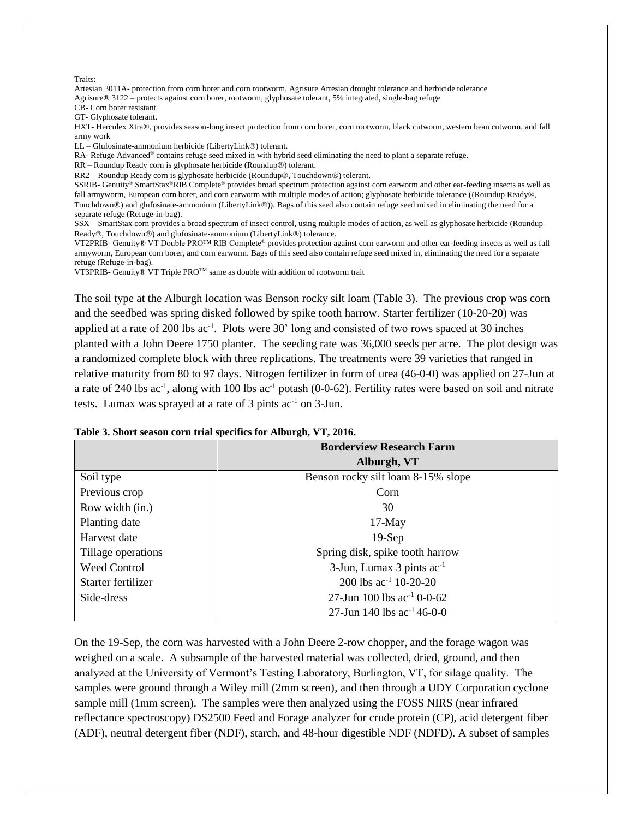| Traits:                                                                                                                                    |
|--------------------------------------------------------------------------------------------------------------------------------------------|
| Artesian 3011A- protection from corn borer and corn rootworm, Agrisure Artesian drought tolerance and herbicide tolerance                  |
| Agrisure® 3122 – protects against corn borer, rootworm, glyphosate tolerant, 5% integrated, single-bag refuge                              |
| CB- Corn borer resistant                                                                                                                   |
| GT- Glyphosate tolerant.                                                                                                                   |
| HXT- Herculex Xtra®, provides season-long insect protection from corn borer, corn rootworm, black cutworm, western bean cutworm, and fall  |
| army work                                                                                                                                  |
| $LL - Glufosinate-ammonium herbicide (LibertyLink\otimes) tolerant.$                                                                       |
| RA-Refuge Advanced <sup>®</sup> contains refuge seed mixed in with hybrid seed eliminating the need to plant a separate refuge.            |
| $RR - Roundup$ Ready corn is glyphosate herbicide (Roundup <sup>®</sup> ) tolerant.                                                        |
| RR2 – Roundup Ready corn is glyphosate herbicide (Roundup®, Touchdown®) tolerant.                                                          |
| SSRIB- Genuity® SmartStax®RIB Complete® provides broad spectrum protection against corn earworm and other ear-feeding insects as well as   |
| fall armyworm, European corn borer, and corn earworm with multiple modes of action; glyphosate herbicide tolerance ((Roundup Ready®,       |
| Touchdown®) and glufosinate-ammonium (LibertyLink®)). Bags of this seed also contain refuge seed mixed in eliminating the need for a       |
| separate refuge (Refuge-in-bag).                                                                                                           |
| SSX – SmartStax corn provides a broad spectrum of insect control, using multiple modes of action, as well as glyphosate herbicide (Roundup |
| Ready®, Touchdown®) and glufosinate-ammonium (LibertyLink®) tolerance.                                                                     |
| VT2PRIB- Genuity® VT Double PRO™ RIB Complete® provides protection against corn earworm and other ear-feeding insects as well as fall      |
| armyworm, European corn borer, and corn earworm. Bags of this seed also contain refuge seed mixed in, eliminating the need for a separate  |
| refuge (Refuge-in-bag).                                                                                                                    |
| VT3PRIB- Genuity® VT Triple $PRO^{TM}$ same as double with addition of rootworm trait                                                      |

The soil type at the Alburgh location was Benson rocky silt loam (Table 3). The previous crop was corn and the seedbed was spring disked followed by spike tooth harrow. Starter fertilizer (10-20-20) was applied at a rate of 200 lbs ac<sup>-1</sup>. Plots were 30' long and consisted of two rows spaced at 30 inches planted with a John Deere 1750 planter. The seeding rate was 36,000 seeds per acre. The plot design was a randomized complete block with three replications. The treatments were 39 varieties that ranged in relative maturity from 80 to 97 days. Nitrogen fertilizer in form of urea (46-0-0) was applied on 27-Jun at a rate of 240 lbs  $ac^{-1}$ , along with 100 lbs  $ac^{-1}$  potash (0-0-62). Fertility rates were based on soil and nitrate tests. Lumax was sprayed at a rate of  $3$  pints ac<sup>-1</sup> on  $3$ -Jun.

|                     | <b>Borderview Research Farm</b>          |
|---------------------|------------------------------------------|
|                     | Alburgh, VT                              |
| Soil type           | Benson rocky silt loam 8-15% slope       |
| Previous crop       | Corn                                     |
| Row width (in.)     | 30                                       |
| Planting date       | $17-May$                                 |
| Harvest date        | $19-Sep$                                 |
| Tillage operations  | Spring disk, spike tooth harrow          |
| <b>Weed Control</b> | $3$ -Jun, Lumax 3 pints ac <sup>-1</sup> |
| Starter fertilizer  | 200 lbs $ac^{-1}$ 10-20-20               |
| Side-dress          | 27-Jun 100 lbs $ac^{-1}$ 0-0-62          |
|                     | 27-Jun 140 lbs $ac^{-1}$ 46-0-0          |

#### **Table 3. Short season corn trial specifics for Alburgh, VT, 2016.**

On the 19-Sep, the corn was harvested with a John Deere 2-row chopper, and the forage wagon was weighed on a scale. A subsample of the harvested material was collected, dried, ground, and then analyzed at the University of Vermont's Testing Laboratory, Burlington, VT, for silage quality. The samples were ground through a Wiley mill (2mm screen), and then through a UDY Corporation cyclone sample mill (1mm screen). The samples were then analyzed using the FOSS NIRS (near infrared reflectance spectroscopy) DS2500 Feed and Forage analyzer for crude protein (CP), acid detergent fiber (ADF), neutral detergent fiber (NDF), starch, and 48-hour digestible NDF (NDFD). A subset of samples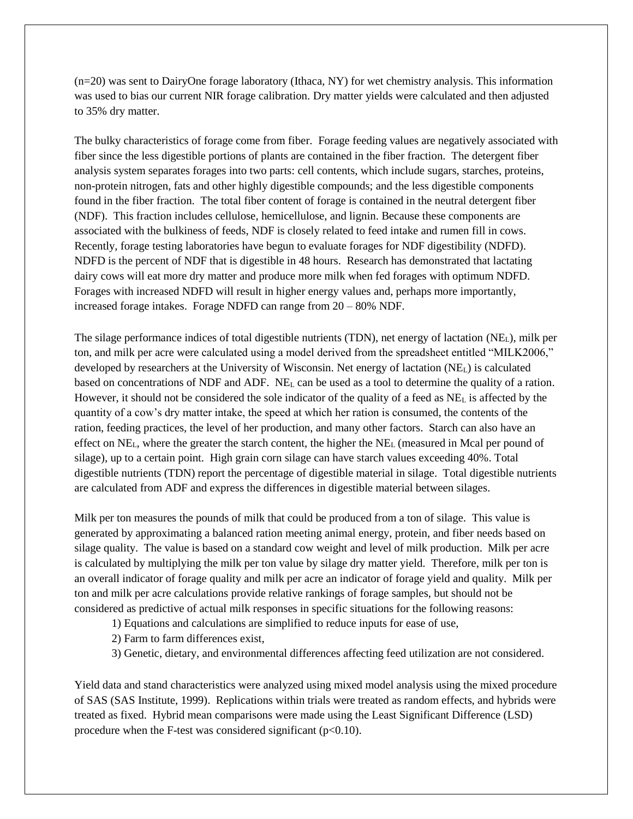(n=20) was sent to DairyOne forage laboratory (Ithaca, NY) for wet chemistry analysis. This information was used to bias our current NIR forage calibration. Dry matter yields were calculated and then adjusted to 35% dry matter.

The bulky characteristics of forage come from fiber. Forage feeding values are negatively associated with fiber since the less digestible portions of plants are contained in the fiber fraction. The detergent fiber analysis system separates forages into two parts: cell contents, which include sugars, starches, proteins, non-protein nitrogen, fats and other highly digestible compounds; and the less digestible components found in the fiber fraction. The total fiber content of forage is contained in the neutral detergent fiber (NDF). This fraction includes cellulose, hemicellulose, and lignin. Because these components are associated with the bulkiness of feeds, NDF is closely related to feed intake and rumen fill in cows. Recently, forage testing laboratories have begun to evaluate forages for NDF digestibility (NDFD). NDFD is the percent of NDF that is digestible in 48 hours. Research has demonstrated that lactating dairy cows will eat more dry matter and produce more milk when fed forages with optimum NDFD. Forages with increased NDFD will result in higher energy values and, perhaps more importantly, increased forage intakes. Forage NDFD can range from 20 – 80% NDF.

The silage performance indices of total digestible nutrients (TDN), net energy of lactation (NEL), milk per ton, and milk per acre were calculated using a model derived from the spreadsheet entitled "MILK2006," developed by researchers at the University of Wisconsin. Net energy of lactation (NEL) is calculated based on concentrations of NDF and ADF. NE<sup>L</sup> can be used as a tool to determine the quality of a ration. However, it should not be considered the sole indicator of the quality of a feed as NE<sup>L</sup> is affected by the quantity of a cow's dry matter intake, the speed at which her ration is consumed, the contents of the ration, feeding practices, the level of her production, and many other factors. Starch can also have an effect on NEL, where the greater the starch content, the higher the NE<sup>L</sup> (measured in Mcal per pound of silage), up to a certain point. High grain corn silage can have starch values exceeding 40%. Total digestible nutrients (TDN) report the percentage of digestible material in silage. Total digestible nutrients are calculated from ADF and express the differences in digestible material between silages.

Milk per ton measures the pounds of milk that could be produced from a ton of silage. This value is generated by approximating a balanced ration meeting animal energy, protein, and fiber needs based on silage quality. The value is based on a standard cow weight and level of milk production. Milk per acre is calculated by multiplying the milk per ton value by silage dry matter yield. Therefore, milk per ton is an overall indicator of forage quality and milk per acre an indicator of forage yield and quality. Milk per ton and milk per acre calculations provide relative rankings of forage samples, but should not be considered as predictive of actual milk responses in specific situations for the following reasons:

- 1) Equations and calculations are simplified to reduce inputs for ease of use,
- 2) Farm to farm differences exist,
- 3) Genetic, dietary, and environmental differences affecting feed utilization are not considered.

Yield data and stand characteristics were analyzed using mixed model analysis using the mixed procedure of SAS (SAS Institute, 1999). Replications within trials were treated as random effects, and hybrids were treated as fixed. Hybrid mean comparisons were made using the Least Significant Difference (LSD) procedure when the F-test was considered significant  $(p<0.10)$ .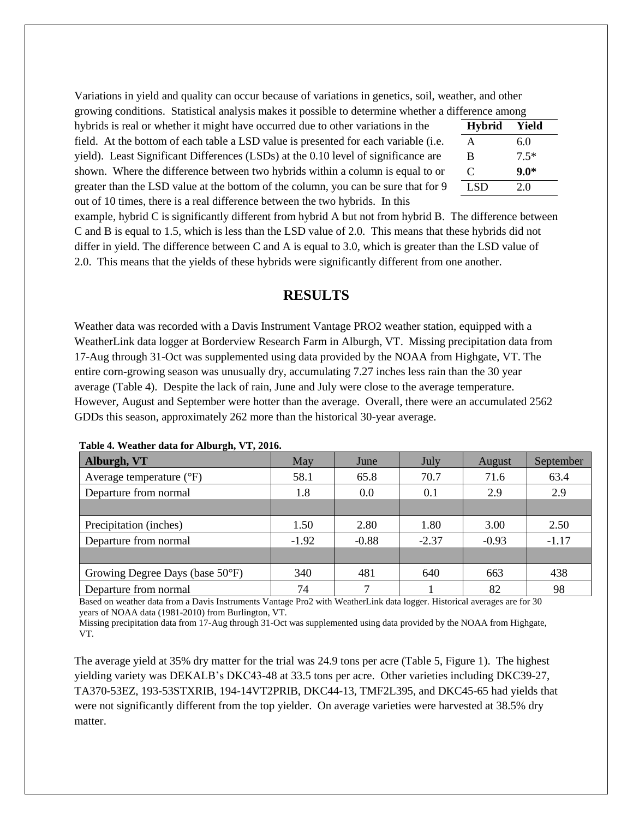Variations in yield and quality can occur because of variations in genetics, soil, weather, and other growing conditions. Statistical analysis makes it possible to determine whether a difference among

hybrids is real or whether it might have occurred due to other variations in the field. At the bottom of each table a LSD value is presented for each variable (i.e. yield). Least Significant Differences (LSDs) at the 0.10 level of significance are shown. Where the difference between two hybrids within a column is equal to or greater than the LSD value at the bottom of the column, you can be sure that for 9 out of 10 times, there is a real difference between the two hybrids. In this **Hybrid Yield** A 6.0 B 7.5\* C **9.0\***  $LSD$  2.0

example, hybrid C is significantly different from hybrid A but not from hybrid B. The difference between C and B is equal to 1.5, which is less than the LSD value of 2.0. This means that these hybrids did not differ in yield. The difference between C and A is equal to 3.0, which is greater than the LSD value of 2.0. This means that the yields of these hybrids were significantly different from one another.

### **RESULTS**

Weather data was recorded with a Davis Instrument Vantage PRO2 weather station, equipped with a WeatherLink data logger at Borderview Research Farm in Alburgh, VT. Missing precipitation data from 17-Aug through 31-Oct was supplemented using data provided by the NOAA from Highgate, VT. The entire corn-growing season was unusually dry, accumulating 7.27 inches less rain than the 30 year average (Table 4). Despite the lack of rain, June and July were close to the average temperature. However, August and September were hotter than the average. Overall, there were an accumulated 2562 GDDs this season, approximately 262 more than the historical 30-year average.

| Alburgh, VT                         | May     | June    | July    | August  | September |  |
|-------------------------------------|---------|---------|---------|---------|-----------|--|
| Average temperature $({}^{\circ}F)$ | 58.1    | 65.8    | 70.7    | 71.6    | 63.4      |  |
| Departure from normal               | 1.8     | 0.0     | 0.1     | 2.9     | 2.9       |  |
|                                     |         |         |         |         |           |  |
| Precipitation (inches)              | 1.50    | 2.80    | 1.80    | 3.00    | 2.50      |  |
| Departure from normal               | $-1.92$ | $-0.88$ | $-2.37$ | $-0.93$ | $-1.17$   |  |
|                                     |         |         |         |         |           |  |
| Growing Degree Days (base 50°F)     | 340     | 481     | 640     | 663     | 438       |  |
| Departure from normal               | 74      |         |         | 82      | 98        |  |

**Table 4. Weather data for Alburgh, VT, 2016.**

Based on weather data from a Davis Instruments Vantage Pro2 with WeatherLink data logger. Historical averages are for 30 years of NOAA data (1981-2010) from Burlington, VT.

Missing precipitation data from 17-Aug through 31-Oct was supplemented using data provided by the NOAA from Highgate, VT.

The average yield at 35% dry matter for the trial was 24.9 tons per acre (Table 5, Figure 1). The highest yielding variety was DEKALB's DKC43-48 at 33.5 tons per acre. Other varieties including DKC39-27, TA370-53EZ, 193-53STXRIB, 194-14VT2PRIB, DKC44-13, TMF2L395, and DKC45-65 had yields that were not significantly different from the top yielder. On average varieties were harvested at 38.5% dry matter.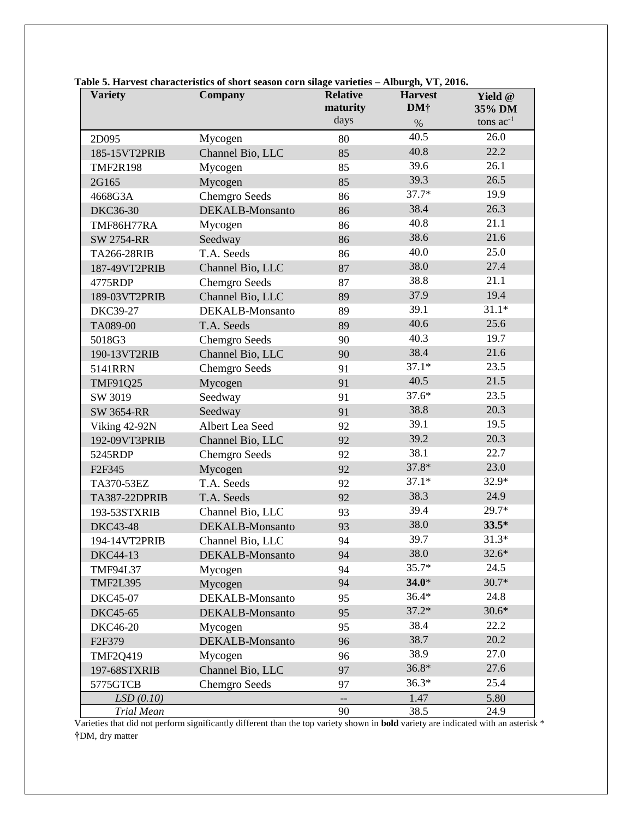| <b>Variety</b>       | Company              | <b>Relative</b>          | <b>Harvest</b>  | Yield @                  |  |
|----------------------|----------------------|--------------------------|-----------------|--------------------------|--|
|                      |                      | maturity<br>days         | DM <sup>†</sup> | 35% DM<br>tons $ac^{-1}$ |  |
|                      |                      |                          | $\%$            |                          |  |
| 2D095                | Mycogen              | 80                       | 40.5            | 26.0                     |  |
| 185-15VT2PRIB        | Channel Bio, LLC     | 85                       | 40.8            | 22.2                     |  |
| <b>TMF2R198</b>      | Mycogen              | 85                       | 39.6            | 26.1                     |  |
| 2G165                | Mycogen              | 85                       | 39.3            | 26.5                     |  |
| 4668G3A              | <b>Chemgro Seeds</b> | 86                       | 37.7*           | 19.9                     |  |
| DKC36-30             | DEKALB-Monsanto      | 86                       | 38.4            | 26.3                     |  |
| TMF86H77RA           | Mycogen              | 86                       | 40.8            | 21.1                     |  |
| <b>SW 2754-RR</b>    | Seedway              | 86                       | 38.6            | 21.6                     |  |
| TA266-28RIB          | T.A. Seeds           | 86                       | 40.0            | 25.0                     |  |
| 187-49VT2PRIB        | Channel Bio, LLC     | 87                       | 38.0            | 27.4                     |  |
| 4775RDP              | <b>Chemgro Seeds</b> | 87                       | 38.8            | 21.1                     |  |
| 189-03VT2PRIB        | Channel Bio, LLC     | 89                       | 37.9            | 19.4                     |  |
| <b>DKC39-27</b>      | DEKALB-Monsanto      | 89                       | 39.1            | $31.1*$                  |  |
| TA089-00             | T.A. Seeds           | 89                       | 40.6            | 25.6                     |  |
| 5018G3               | <b>Chemgro Seeds</b> | 90                       | 40.3            | 19.7                     |  |
| 190-13VT2RIB         | Channel Bio, LLC     | 90                       | 38.4            | 21.6                     |  |
| 5141RRN              | <b>Chemgro Seeds</b> | 91                       | $37.1*$         | 23.5                     |  |
| TMF91Q25             | Mycogen              | 91                       | 40.5            | 21.5                     |  |
| SW 3019              | Seedway              | 91                       | $37.6*$         | 23.5                     |  |
| <b>SW 3654-RR</b>    | Seedway              | 91                       | 38.8            | 20.3                     |  |
| Viking 42-92N        | Albert Lea Seed      | 92                       | 39.1            | 19.5                     |  |
| 192-09VT3PRIB        | Channel Bio, LLC     | 92                       | 39.2            | 20.3                     |  |
| 5245RDP              | <b>Chemgro Seeds</b> | 92                       | 38.1            | 22.7                     |  |
| F <sub>2F345</sub>   | Mycogen              | 92                       | 37.8*           | 23.0                     |  |
| TA370-53EZ           | T.A. Seeds           | 92                       | $37.1*$         | 32.9*                    |  |
| <b>TA387-22DPRIB</b> | T.A. Seeds           | 92                       | 38.3            | 24.9                     |  |
| 193-53STXRIB         | Channel Bio, LLC     | 93                       | 39.4            | 29.7*                    |  |
| <b>DKC43-48</b>      | DEKALB-Monsanto      | 93                       | 38.0            | $33.5*$                  |  |
| 194-14VT2PRIB        | Channel Bio, LLC     | 94                       | 39.7            | $31.3*$                  |  |
| DKC44-13             | DEKALB-Monsanto      | 94                       | 38.0            | $32.6*$                  |  |
| <b>TMF94L37</b>      | Mycogen              | 94                       | $35.7*$         | 24.5                     |  |
| <b>TMF2L395</b>      | Mycogen              | 94                       | $34.0*$         | $30.7*$                  |  |
| <b>DKC45-07</b>      | DEKALB-Monsanto      | 95                       | $36.4*$         | 24.8                     |  |
| DKC45-65             | DEKALB-Monsanto      | 95                       | $37.2*$         | $30.6*$                  |  |
| DKC46-20             | Mycogen              | 95                       | 38.4            | 22.2                     |  |
| F2F379               | DEKALB-Monsanto      | 96                       | 38.7            | 20.2                     |  |
| <b>TMF2Q419</b>      | Mycogen              | 96                       | 38.9            | 27.0                     |  |
| 197-68STXRIB         | Channel Bio, LLC     | 97                       | $36.8*$         | 27.6                     |  |
| 5775GTCB             | <b>Chemgro Seeds</b> | 97                       | $36.3*$         | 25.4                     |  |
| LSD(0.10)            |                      | $\overline{\phantom{a}}$ | 1.47            | 5.80                     |  |
| Trial Mean           |                      | 90                       | 38.5            | 24.9                     |  |

**Table 5. Harvest characteristics of short season corn silage varieties – Alburgh, VT, 2016.**

Varieties that did not perform significantly different than the top variety shown in **bold** variety are indicated with an asterisk \* **†**DM, dry matter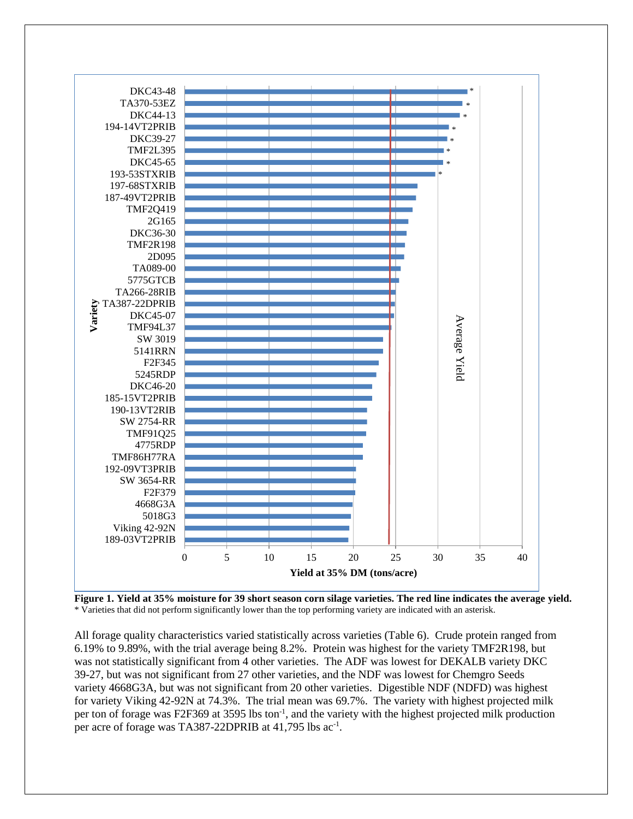

**Figure 1. Yield at 35% moisture for 39 short season corn silage varieties. The red line indicates the average yield.**  \* Varieties that did not perform significantly lower than the top performing variety are indicated with an asterisk.

All forage quality characteristics varied statistically across varieties (Table 6). Crude protein ranged from 6.19% to 9.89%, with the trial average being 8.2%. Protein was highest for the variety TMF2R198, but was not statistically significant from 4 other varieties. The ADF was lowest for DEKALB variety DKC 39-27, but was not significant from 27 other varieties, and the NDF was lowest for Chemgro Seeds variety 4668G3A, but was not significant from 20 other varieties. Digestible NDF (NDFD) was highest for variety Viking 42-92N at 74.3%. The trial mean was 69.7%. The variety with highest projected milk per ton of forage was F2F369 at 3595 lbs ton<sup>-1</sup>, and the variety with the highest projected milk production per acre of forage was TA387-22DPRIB at 41,795 lbs ac<sup>-1</sup>.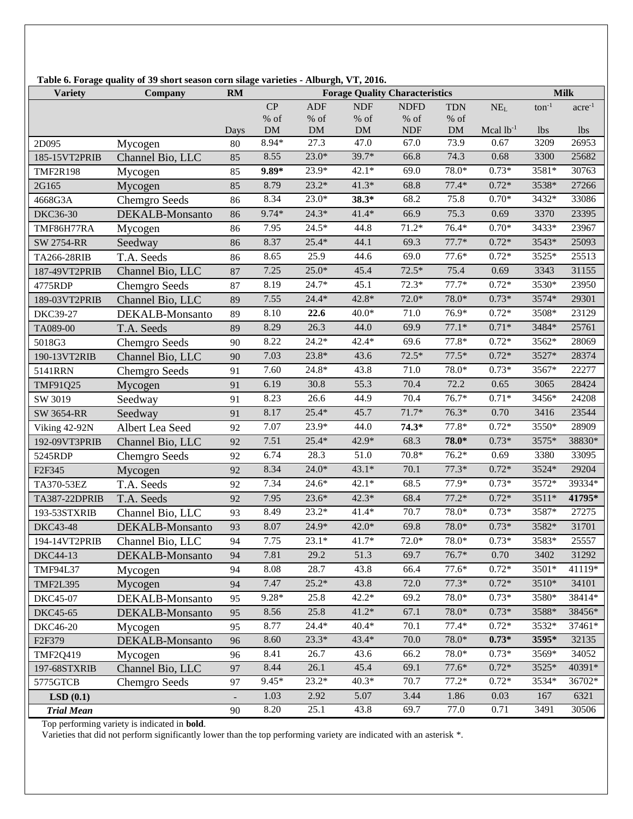| <b>Variety</b>     | Company              | RM   | Table 6. Forage quality of 39 short season corn silage varieties - Alburgh, VT, 2016.<br><b>Forage Quality Characteristics</b><br><b>Milk</b> |            |            |             |            |                |            |                  |
|--------------------|----------------------|------|-----------------------------------------------------------------------------------------------------------------------------------------------|------------|------------|-------------|------------|----------------|------------|------------------|
|                    |                      |      | CP                                                                                                                                            | <b>ADF</b> | <b>NDF</b> | <b>NDFD</b> | <b>TDN</b> | $NE_{L}$       | $ton^{-1}$ | $\rm{acre}^{-1}$ |
|                    |                      |      | $\%$ of                                                                                                                                       | $\%$ of    | $\%$ of    | $\%$ of     | % of       |                |            |                  |
|                    |                      | Days | $DM$                                                                                                                                          | ${\rm DM}$ | $DM$       | <b>NDF</b>  | <b>DM</b>  | Mcal $lb^{-1}$ | <i>lbs</i> | <i>lbs</i>       |
| 2D095              | Mycogen              | 80   | 8.94*                                                                                                                                         | 27.3       | 47.0       | 67.0        | 73.9       | 0.67           | 3209       | 26953            |
| 185-15VT2PRIB      | Channel Bio, LLC     | 85   | 8.55                                                                                                                                          | $23.0*$    | 39.7*      | 66.8        | 74.3       | 0.68           | 3300       | 25682            |
| <b>TMF2R198</b>    | Mycogen              | 85   | $9.89*$                                                                                                                                       | 23.9*      | $42.1*$    | 69.0        | 78.0*      | $0.73*$        | 3581*      | 30763            |
| 2G165              | Mycogen              | 85   | 8.79                                                                                                                                          | $23.2*$    | $41.3*$    | 68.8        | $77.4*$    | $0.72*$        | 3538*      | 27266            |
| 4668G3A            | Chemgro Seeds        | 86   | 8.34                                                                                                                                          | $23.0*$    | $38.3*$    | 68.2        | 75.8       | $0.70*$        | 3432*      | 33086            |
| DKC36-30           | DEKALB-Monsanto      | 86   | 9.74*                                                                                                                                         | $24.3*$    | $41.4*$    | 66.9        | 75.3       | 0.69           | 3370       | 23395            |
| TMF86H77RA         | Mycogen              | 86   | 7.95                                                                                                                                          | $24.5*$    | 44.8       | $71.2*$     | $76.4*$    | $0.70*$        | 3433*      | 23967            |
| <b>SW 2754-RR</b>  | Seedway              | 86   | 8.37                                                                                                                                          | $25.4*$    | 44.1       | 69.3        | $77.7*$    | $0.72*$        | 3543*      | 25093            |
| TA266-28RIB        | T.A. Seeds           | 86   | 8.65                                                                                                                                          | 25.9       | 44.6       | 69.0        | $77.6*$    | $0.72*$        | 3525*      | 25513            |
| 187-49VT2PRIB      | Channel Bio, LLC     | 87   | 7.25                                                                                                                                          | $25.0*$    | 45.4       | $72.5*$     | 75.4       | 0.69           | 3343       | 31155            |
| 4775RDP            | Chemgro Seeds        | 87   | 8.19                                                                                                                                          | $24.7*$    | 45.1       | $72.3*$     | $77.7*$    | $0.72*$        | 3530*      | 23950            |
| 189-03VT2PRIB      | Channel Bio, LLC     | 89   | 7.55                                                                                                                                          | $24.4*$    | $42.8*$    | 72.0*       | 78.0*      | $0.73*$        | 3574*      | 29301            |
| <b>DKC39-27</b>    | DEKALB-Monsanto      | 89   | 8.10                                                                                                                                          | 22.6       | $40.0*$    | 71.0        | 76.9*      | $0.72*$        | 3508*      | 23129            |
| TA089-00           | T.A. Seeds           | 89   | 8.29                                                                                                                                          | 26.3       | 44.0       | 69.9        | $77.1*$    | $0.71*$        | 3484*      | 25761            |
| 5018G3             | <b>Chemgro Seeds</b> | 90   | 8.22                                                                                                                                          | $24.2*$    | $42.4*$    | 69.6        | $77.8*$    | $0.72*$        | 3562*      | 28069            |
| 190-13VT2RIB       | Channel Bio, LLC     | 90   | 7.03                                                                                                                                          | $23.8*$    | 43.6       | $72.5*$     | $77.5*$    | $0.72*$        | 3527*      | 28374            |
| 5141RRN            | Chemgro Seeds        | 91   | 7.60                                                                                                                                          | $24.8*$    | 43.8       | 71.0        | 78.0*      | $0.73*$        | 3567*      | 22277            |
| TMF91Q25           | Mycogen              | 91   | 6.19                                                                                                                                          | 30.8       | 55.3       | 70.4        | 72.2       | 0.65           | 3065       | 28424            |
| SW 3019            | Seedway              | 91   | 8.23                                                                                                                                          | 26.6       | 44.9       | 70.4        | $76.7*$    | $0.71*$        | 3456*      | 24208            |
| SW 3654-RR         | Seedway              | 91   | 8.17                                                                                                                                          | $25.4*$    | 45.7       | $71.7*$     | $76.3*$    | 0.70           | 3416       | 23544            |
| Viking 42-92N      | Albert Lea Seed      | 92   | 7.07                                                                                                                                          | 23.9*      | 44.0       | $74.3*$     | $77.8*$    | $0.72*$        | 3550*      | 28909            |
| 192-09VT3PRIB      | Channel Bio, LLC     | 92   | 7.51                                                                                                                                          | $25.4*$    | 42.9*      | 68.3        | 78.0*      | $0.73*$        | 3575*      | 38830*           |
| 5245RDP            | <b>Chemgro Seeds</b> | 92   | 6.74                                                                                                                                          | 28.3       | 51.0       | $70.8*$     | $76.2*$    | 0.69           | 3380       | 33095            |
| F <sub>2F345</sub> | Mycogen              | 92   | 8.34                                                                                                                                          | $24.0*$    | $43.1*$    | 70.1        | $77.3*$    | $0.72*$        | 3524*      | 29204            |
| TA370-53EZ         | T.A. Seeds           | 92   | 7.34                                                                                                                                          | $24.6*$    | $42.1*$    | 68.5        | 77.9*      | $0.73*$        | 3572*      | 39334*           |
| TA387-22DPRIB      | T.A. Seeds           | 92   | 7.95                                                                                                                                          | $23.6*$    | $42.3*$    | 68.4        | $77.2*$    | $0.72*$        | 3511*      | 41795*           |
| 193-53STXRIB       | Channel Bio, LLC     | 93   | 8.49                                                                                                                                          | $23.2*$    | $41.4*$    | 70.7        | 78.0*      | $0.73*$        | 3587*      | 27275            |
| <b>DKC43-48</b>    | DEKALB-Monsanto      | 93   | 8.07                                                                                                                                          | $24.9*$    | $42.0*$    | 69.8        | 78.0*      | $0.73*$        | $3582*$    | 31701            |
| 194-14VT2PRIB      | Channel Bio, LLC     | 94   | 7.75                                                                                                                                          | $23.1*$    | $41.7*$    | $72.0*$     | $78.0*$    | $0.73*$        | 3583*      | 25557            |
| DKC44-13           | DEKALB-Monsanto      | 94   | 7.81                                                                                                                                          | 29.2       | 51.3       | 69.7        | $76.7*$    | 0.70           | 3402       | 31292            |
| <b>TMF94L37</b>    | Mycogen              | 94   | 8.08                                                                                                                                          | 28.7       | 43.8       | 66.4        | $77.6*$    | $0.72*$        | 3501*      | 41119*           |
| <b>TMF2L395</b>    | Mycogen              | 94   | 7.47                                                                                                                                          | $25.2*$    | 43.8       | 72.0        | $77.3*$    | $0.72*$        | 3510*      | 34101            |
| DKC45-07           | DEKALB-Monsanto      | 95   | 9.28*                                                                                                                                         | 25.8       | $42.2*$    | 69.2        | 78.0*      | $0.73*$        | 3580*      | 38414*           |
| DKC45-65           | DEKALB-Monsanto      | 95   | 8.56                                                                                                                                          | 25.8       | $41.2*$    | 67.1        | 78.0*      | $0.73*$        | 3588*      | 38456*           |
| DKC46-20           | Mycogen              | 95   | 8.77                                                                                                                                          | $24.4*$    | $40.4*$    | 70.1        | $77.4*$    | $0.72*$        | 3532*      | 37461*           |
| F2F379             | DEKALB-Monsanto      | 96   | 8.60                                                                                                                                          | $23.3*$    | 43.4*      | 70.0        | 78.0*      | $0.73*$        | 3595*      | 32135            |
| <b>TMF2Q419</b>    | Mycogen              | 96   | 8.41                                                                                                                                          | 26.7       | 43.6       | 66.2        | 78.0*      | $0.73*$        | 3569*      | 34052            |
| 197-68STXRIB       | Channel Bio, LLC     | 97   | 8.44                                                                                                                                          | 26.1       | 45.4       | 69.1        | $77.6*$    | $0.72*$        | 3525*      | 40391*           |
| 5775GTCB           | Chemgro Seeds        | 97   | $9.45*$                                                                                                                                       | $23.2*$    | $40.3*$    | 70.7        | $77.2*$    | $0.72*$        | 3534*      | 36702*           |
| LSD(0.1)           |                      |      | 1.03                                                                                                                                          | 2.92       | 5.07       | 3.44        | 1.86       | 0.03           | 167        | 6321             |
| <b>Trial Mean</b>  |                      | 90   | 8.20                                                                                                                                          | 25.1       | 43.8       | 69.7        | 77.0       | 0.71           | 3491       | 30506            |

 **Table 6. Forage quality of 39 short season corn silage varieties - Alburgh, VT, 2016.**

Top performing variety is indicated in **bold**.

Varieties that did not perform significantly lower than the top performing variety are indicated with an asterisk \*.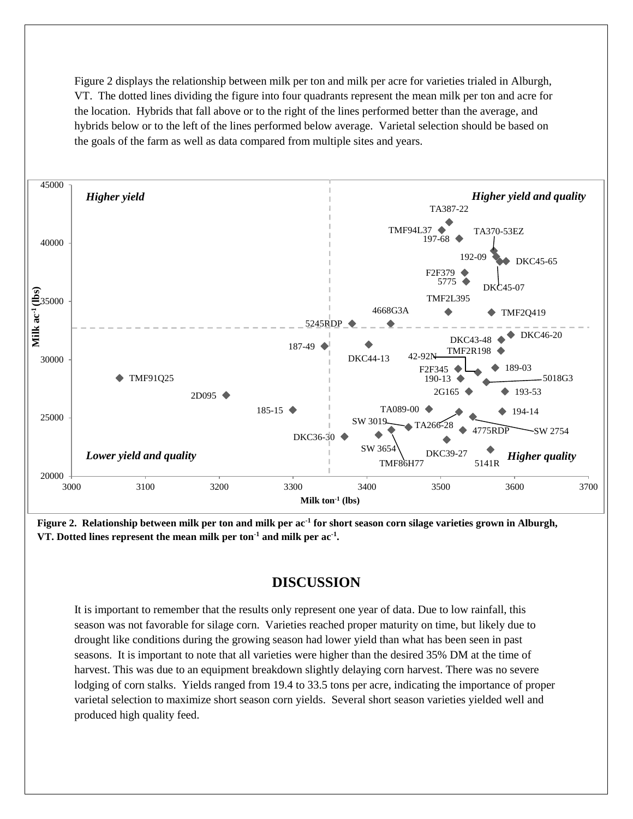Figure 2 displays the relationship between milk per ton and milk per acre for varieties trialed in Alburgh, VT. The dotted lines dividing the figure into four quadrants represent the mean milk per ton and acre for the location. Hybrids that fall above or to the right of the lines performed better than the average, and hybrids below or to the left of the lines performed below average. Varietal selection should be based on the goals of the farm as well as data compared from multiple sites and years.



**Figure 2. Relationship between milk per ton and milk per ac-1 for short season corn silage varieties grown in Alburgh, VT. Dotted lines represent the mean milk per ton-1 and milk per ac-1 .**

## **DISCUSSION**

It is important to remember that the results only represent one year of data. Due to low rainfall, this season was not favorable for silage corn. Varieties reached proper maturity on time, but likely due to drought like conditions during the growing season had lower yield than what has been seen in past seasons. It is important to note that all varieties were higher than the desired 35% DM at the time of harvest. This was due to an equipment breakdown slightly delaying corn harvest. There was no severe lodging of corn stalks. Yields ranged from 19.4 to 33.5 tons per acre, indicating the importance of proper varietal selection to maximize short season corn yields. Several short season varieties yielded well and produced high quality feed.